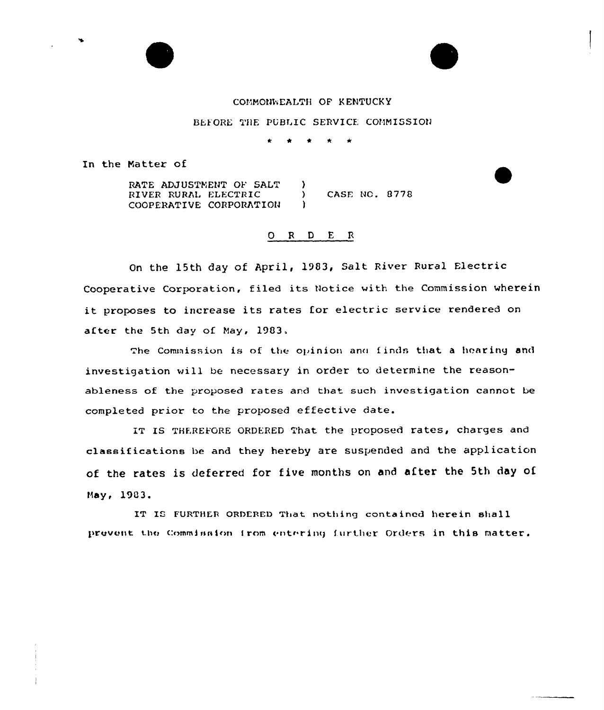

BEFORE THE PUBLIC SERVICE COMMISSION

In the Matter of

RATE ADJUSTMENT OF SALT  $\lambda$ RIVER RURAL ELECTRIC **CASE NO. 8778**  $\lambda$ COOPERATIVE CORPORATION  $\mathbf{r}$ 

## ORDER

On the 15th day of April, 1983, Salt River Rural Electric Cooperative Corporation, filed its Notice with the Commission wherein it proposes to increase its rates for electric service rendered on after the 5th day of May, 1983.

The Commission is of the opinion and finds that a hearing and investigation will be necessary in order to determine the reasonableness of the proposed rates and that such investigation cannot be completed prior to the proposed effective date.

IT IS THEREFORE ORDERED That the proposed rates, charges and classifications be and they hereby are suspended and the application of the rates is deferred for five months on and after the 5th day of May, 1983.

IT IS FURTHER ORDERED That nothing contained herein shall prevent the Commission from entering further Orders in this matter.